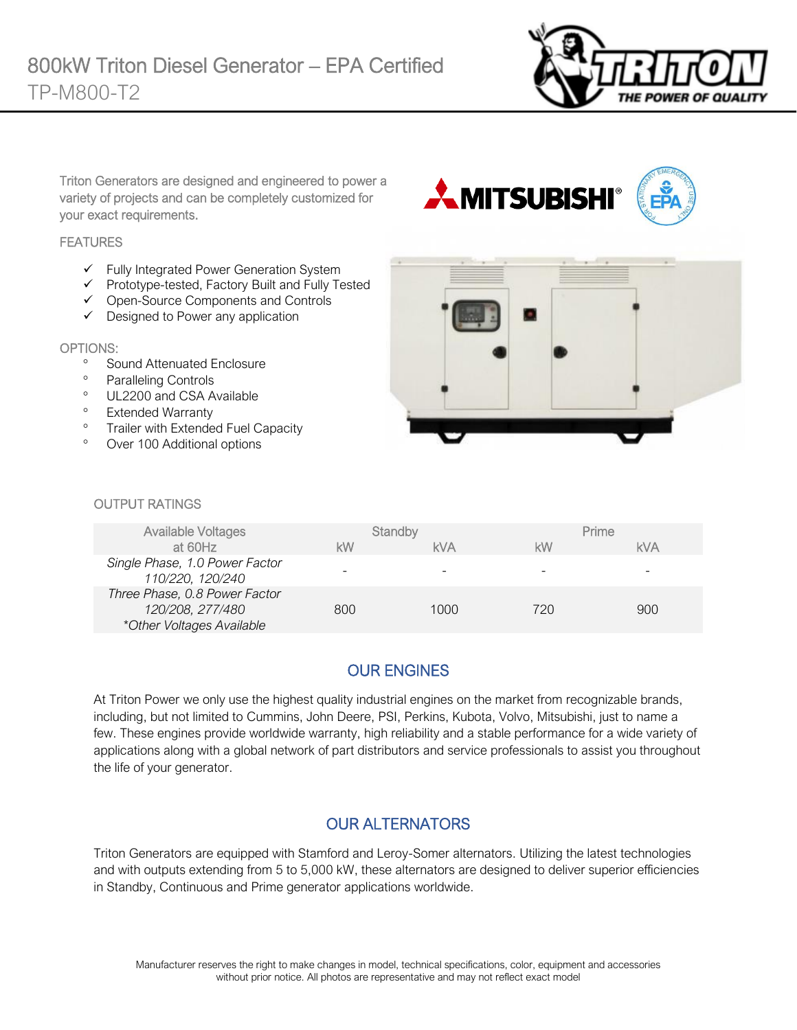

Triton Generators are designed and engineered to power a variety of projects and can be completely customized for your exact requirements.

#### **FEATURES**

- ✓ Fully Integrated Power Generation System
- ✓ Prototype-tested, Factory Built and Fully Tested
- ✓ Open-Source Components and Controls
- ✓ Designed to Power any application

#### OPTIONS:

- <sup>o</sup> Sound Attenuated Enclosure
- <sup>o</sup> Paralleling Controls
- <sup>o</sup> UL2200 and CSA Available
- <sup>o</sup> Extended Warranty
- <sup>o</sup> Trailer with Extended Fuel Capacity
- Over 100 Additional options





#### OUTPUT RATINGS

| Available Voltages                                                             |     | Standby    |     | Prime      |
|--------------------------------------------------------------------------------|-----|------------|-----|------------|
| at 60Hz                                                                        | kW  | <b>kVA</b> | kW  | <b>kVA</b> |
| Single Phase, 1.0 Power Factor<br>110/220, 120/240                             |     |            |     | -          |
| Three Phase, 0.8 Power Factor<br>120/208, 277/480<br>*Other Voltages Available | 800 | 1000       | 720 | 900        |

# OUR ENGINES

At Triton Power we only use the highest quality industrial engines on the market from recognizable brands, including, but not limited to Cummins, John Deere, PSI, Perkins, Kubota, Volvo, Mitsubishi, just to name a few. These engines provide worldwide warranty, high reliability and a stable performance for a wide variety of applications along with a global network of part distributors and service professionals to assist you throughout the life of your generator.

### OUR ALTERNATORS

Triton Generators are equipped with Stamford and Leroy-Somer alternators. Utilizing the latest technologies and with outputs extending from 5 to 5,000 kW, these alternators are designed to deliver superior efficiencies in Standby, Continuous and Prime generator applications worldwide.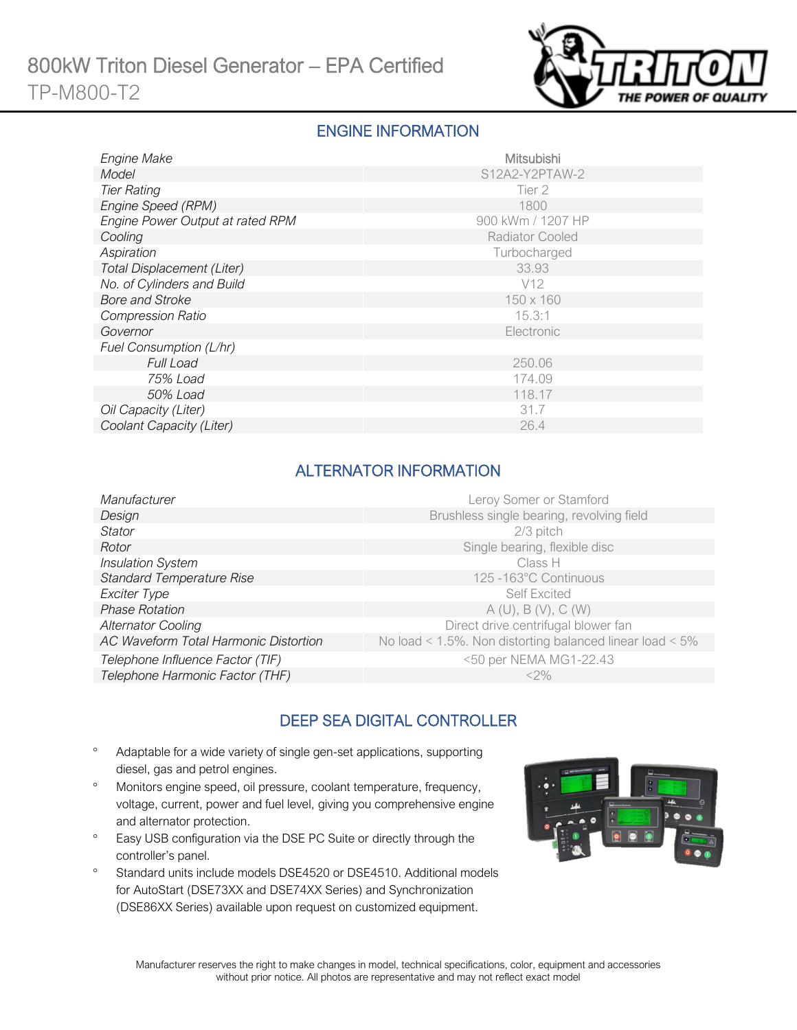

### ENGINE INFORMATION

| Engine Make                       | Mitsubishi             |
|-----------------------------------|------------------------|
| Model                             | S12A2-Y2PTAW-2         |
| <b>Tier Rating</b>                | Tier 2                 |
| Engine Speed (RPM)                | 1800                   |
| Engine Power Output at rated RPM  | 900 kWm / 1207 HP      |
| Cooling                           | <b>Radiator Cooled</b> |
| Aspiration                        | Turbocharged           |
| <b>Total Displacement (Liter)</b> | 33.93                  |
| No. of Cylinders and Build        | V <sub>12</sub>        |
| <b>Bore and Stroke</b>            | 150 x 160              |
| <b>Compression Ratio</b>          | 15.3:1                 |
| Governor                          | Electronic             |
| Fuel Consumption (L/hr)           |                        |
| Full Load                         | 250.06                 |
| 75% Load                          | 174.09                 |
| 50% Load                          | 118.17                 |
| Oil Capacity (Liter)              | 31.7                   |
| Coolant Capacity (Liter)          | 26.4                   |

### ALTERNATOR INFORMATION

| Leroy Somer or Stamford                                         |
|-----------------------------------------------------------------|
| Brushless single bearing, revolving field                       |
| 2/3 pitch                                                       |
| Single bearing, flexible disc                                   |
| Class H                                                         |
| 125 -163°C Continuous                                           |
| <b>Self Excited</b>                                             |
| A(U), B(V), C(W)                                                |
| Direct drive centrifugal blower fan                             |
| No load < $1.5\%$ . Non distorting balanced linear load < $5\%$ |
| <50 per NEMA MG1-22.43                                          |
| $<2\%$                                                          |
|                                                                 |

# DEEP SEA DIGITAL CONTROLLER

- Adaptable for a wide variety of single gen-set applications, supporting diesel, gas and petrol engines.
- Monitors engine speed, oil pressure, coolant temperature, frequency, voltage, current, power and fuel level, giving you comprehensive engine and alternator protection.
- <sup>o</sup> Easy USB configuration via the DSE PC Suite or directly through the controller's panel.
- <sup>o</sup> Standard units include models DSE4520 or DSE4510. Additional models for AutoStart (DSE73XX and DSE74XX Series) and Synchronization (DSE86XX Series) available upon request on customized equipment.

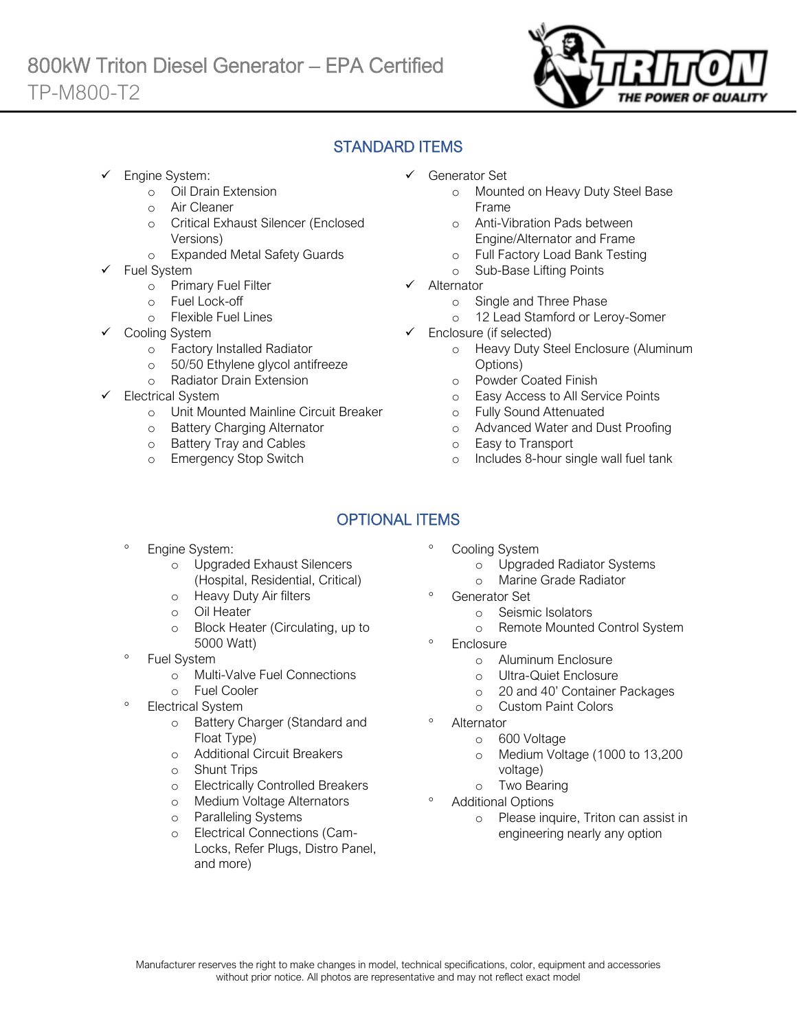

### STANDARD ITEMS

Engine System:

Ī

- o Oil Drain Extension
- o Air Cleaner
- o Critical Exhaust Silencer (Enclosed Versions)
- o Expanded Metal Safety Guards
- Fuel System
	- o Primary Fuel Filter
	- o Fuel Lock-off
		- o Flexible Fuel Lines
	- Cooling System
		- o Factory Installed Radiator
		- o 50/50 Ethylene glycol antifreeze
		- o Radiator Drain Extension
- Electrical System
	- o Unit Mounted Mainline Circuit Breaker
	- o Battery Charging Alternator
	- o Battery Tray and Cables
	- o Emergency Stop Switch
- ✓ Generator Set
	- o Mounted on Heavy Duty Steel Base Frame
	- o Anti-Vibration Pads between Engine/Alternator and Frame
	- o Full Factory Load Bank Testing
	- o Sub-Base Lifting Points
- ✓ Alternator
	- o Single and Three Phase
	- o 12 Lead Stamford or Leroy-Somer
- ✓ Enclosure (if selected)
	- o Heavy Duty Steel Enclosure (Aluminum Options)
	- o Powder Coated Finish
	- o Easy Access to All Service Points
	- o Fully Sound Attenuated
	- o Advanced Water and Dust Proofing
	- o Easy to Transport
	- o Includes 8-hour single wall fuel tank

# OPTIONAL ITEMS

- Engine System:
	- o Upgraded Exhaust Silencers (Hospital, Residential, Critical)
	- o Heavy Duty Air filters
	- o Oil Heater
	- o Block Heater (Circulating, up to 5000 Watt)
- Fuel System
	- o Multi-Valve Fuel Connections
	- o Fuel Cooler
- Electrical System
	- o Battery Charger (Standard and Float Type)
	- o Additional Circuit Breakers
	- o Shunt Trips
	- o Electrically Controlled Breakers
	- o Medium Voltage Alternators
	- o Paralleling Systems
	- o Electrical Connections (Cam-Locks, Refer Plugs, Distro Panel, and more)
- Cooling System
	- o Upgraded Radiator Systems
	- o Marine Grade Radiator
	- Generator Set
		- o Seismic Isolators
		- o Remote Mounted Control System
- **Enclosure** 
	- o Aluminum Enclosure
	- o Ultra-Quiet Enclosure
	- o 20 and 40' Container Packages
	- o Custom Paint Colors
- Alternator
	- o 600 Voltage
	- o Medium Voltage (1000 to 13,200 voltage)
	- o Two Bearing
- Additional Options
	- o Please inquire, Triton can assist in engineering nearly any option